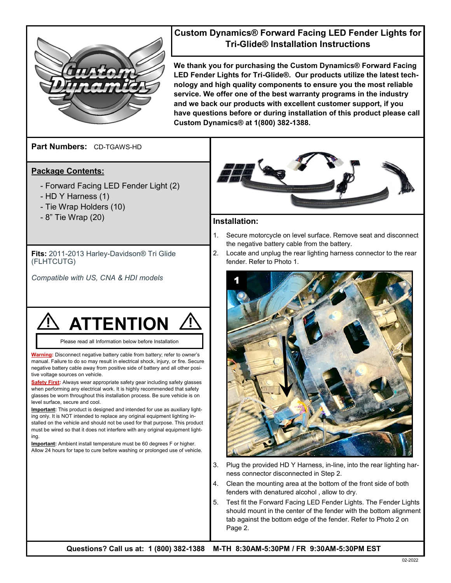

## **Custom Dynamics® Forward Facing LED Fender Lights for Tri-Glide® Installation Instructions**

**We thank you for purchasing the Custom Dynamics® Forward Facing LED Fender Lights for Tri-Glide®. Our products utilize the latest technology and high quality components to ensure you the most reliable service. We offer one of the best warranty programs in the industry and we back our products with excellent customer support, if you have questions before or during installation of this product please call Custom Dynamics® at 1(800) 382-1388.**

**Part Numbers:**  CD-TGAWS-HD

### **Package Contents:**

- Forward Facing LED Fender Light (2)
- HD Y Harness (1)
- Tie Wrap Holders (10)
- 8" Tie Wrap (20) **Installation:**

**Fits:** 2011-2013 Harley-Davidson® Tri Glide (FLHTCUTG)

*Compatible with US, CNA & HDI models*

# **ATTENTION**

Please read all Information below before Installation

**Warning:** Disconnect negative battery cable from battery; refer to owner's manual. Failure to do so may result in electrical shock, injury, or fire. Secure negative battery cable away from positive side of battery and all other positive voltage sources on vehicle.

**Safety First:** Always wear appropriate safety gear including safety glasses when performing any electrical work. It is highly recommended that safety glasses be worn throughout this installation process. Be sure vehicle is on level surface, secure and cool.

**Important:** This product is designed and intended for use as auxiliary lighting only. It is NOT intended to replace any original equipment lighting installed on the vehicle and should not be used for that purpose. This product must be wired so that it does not interfere with any original equipment lighting.

**Important:** Ambient install temperature must be 60 degrees F or higher. Allow 24 hours for tape to cure before washing or prolonged use of vehicle.



- 1. Secure motorcycle on level surface. Remove seat and disconnect the negative battery cable from the battery.
- 2. Locate and unplug the rear lighting harness connector to the rear fender. Refer to Photo 1.



- 3. Plug the provided HD Y Harness, in-line, into the rear lighting harness connector disconnected in Step 2.
- 4. Clean the mounting area at the bottom of the front side of both fenders with denatured alcohol , allow to dry.
- 5. Test fit the Forward Facing LED Fender Lights. The Fender Lights should mount in the center of the fender with the bottom alignment tab against the bottom edge of the fender. Refer to Photo 2 on Page 2.

**Questions? Call us at: 1 (800) 382-1388 M-TH 8:30AM-5:30PM / FR 9:30AM-5:30PM EST**